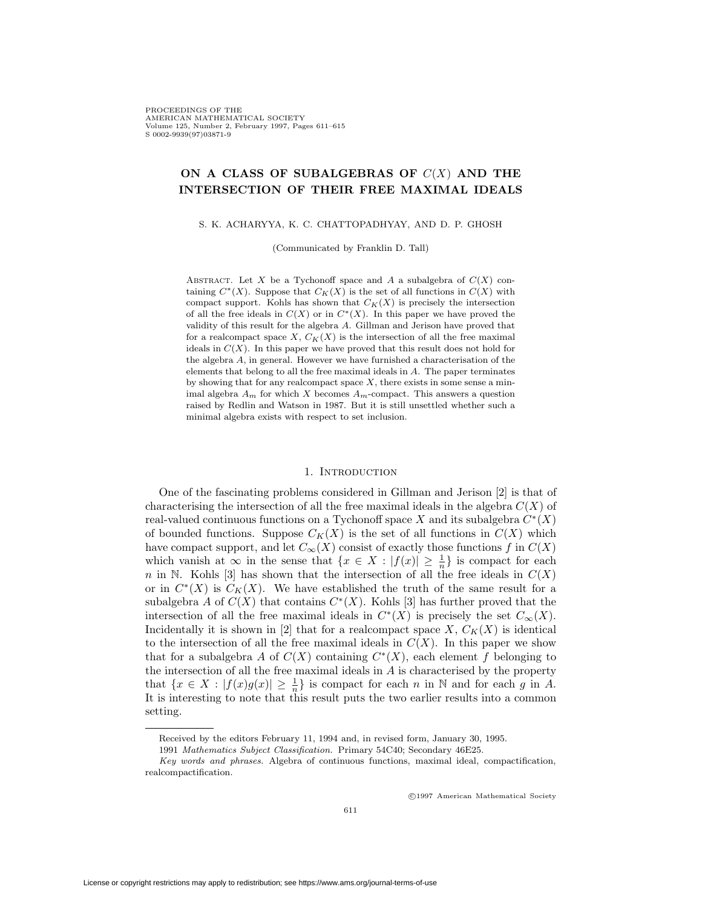PROCEEDINGS OF THE AMERICAN MATHEMATICAL SOCIETY Volume 125, Number 2, February 1997, Pages 611–615 S 0002-9939(97)03871-9

# **ON A CLASS OF SUBALGEBRAS OF** C(X) **AND THE INTERSECTION OF THEIR FREE MAXIMAL IDEALS**

S. K. ACHARYYA, K. C. CHATTOPADHYAY, AND D. P. GHOSH

(Communicated by Franklin D. Tall)

ABSTRACT. Let X be a Tychonoff space and A a subalgebra of  $C(X)$  containing  $C^*(X)$ . Suppose that  $C_K(X)$  is the set of all functions in  $C(X)$  with compact support. Kohls has shown that  $C_K(X)$  is precisely the intersection of all the free ideals in  $C(X)$  or in  $C<sup>*</sup>(X)$ . In this paper we have proved the validity of this result for the algebra A. Gillman and Jerison have proved that for a realcompact space  $X, C_K(X)$  is the intersection of all the free maximal ideals in  $C(X)$ . In this paper we have proved that this result does not hold for the algebra A, in general. However we have furnished a characterisation of the elements that belong to all the free maximal ideals in A. The paper terminates by showing that for any realcompact space  $X$ , there exists in some sense a minimal algebra  $A_m$  for which X becomes  $A_m$ -compact. This answers a question raised by Redlin and Watson in 1987. But it is still unsettled whether such a minimal algebra exists with respect to set inclusion.

### 1. INTRODUCTION

One of the fascinating problems considered in Gillman and Jerison [2] is that of characterising the intersection of all the free maximal ideals in the algebra  $C(X)$  of real-valued continuous functions on a Tychonoff space X and its subalgebra  $C^*(X)$ of bounded functions. Suppose  $C_K(X)$  is the set of all functions in  $C(X)$  which have compact support, and let  $C_{\infty}(X)$  consist of exactly those functions f in  $C(X)$ which vanish at  $\infty$  in the sense that  $\{x \in X : |f(x)| \geq \frac{1}{n}\}\$ is compact for each n in N. Kohls [3] has shown that the intersection of all the free ideals in  $C(X)$ or in  $C^*(X)$  is  $C_K(X)$ . We have established the truth of the same result for a subalgebra A of  $C(X)$  that contains  $C<sup>*</sup>(X)$ . Kohls [3] has further proved that the intersection of all the free maximal ideals in  $C^*(X)$  is precisely the set  $C_{\infty}(X)$ . Incidentally it is shown in [2] that for a realcompact space  $X, C_K(X)$  is identical to the intersection of all the free maximal ideals in  $C(X)$ . In this paper we show that for a subalgebra A of  $C(X)$  containing  $C<sup>*</sup>(X)$ , each element f belonging to the intersection of all the free maximal ideals in A is characterised by the property that  $\{x \in X : |f(x)g(x)| \geq \frac{1}{n}\}$  is compact for each n in N and for each g in A. It is interesting to note that this result puts the two earlier results into a common setting.

c 1997 American Mathematical Society

Received by the editors February 11, 1994 and, in revised form, January 30, 1995.

<sup>1991</sup> Mathematics Subject Classification. Primary 54C40; Secondary 46E25.

Key words and phrases. Algebra of continuous functions, maximal ideal, compactification, realcompactification.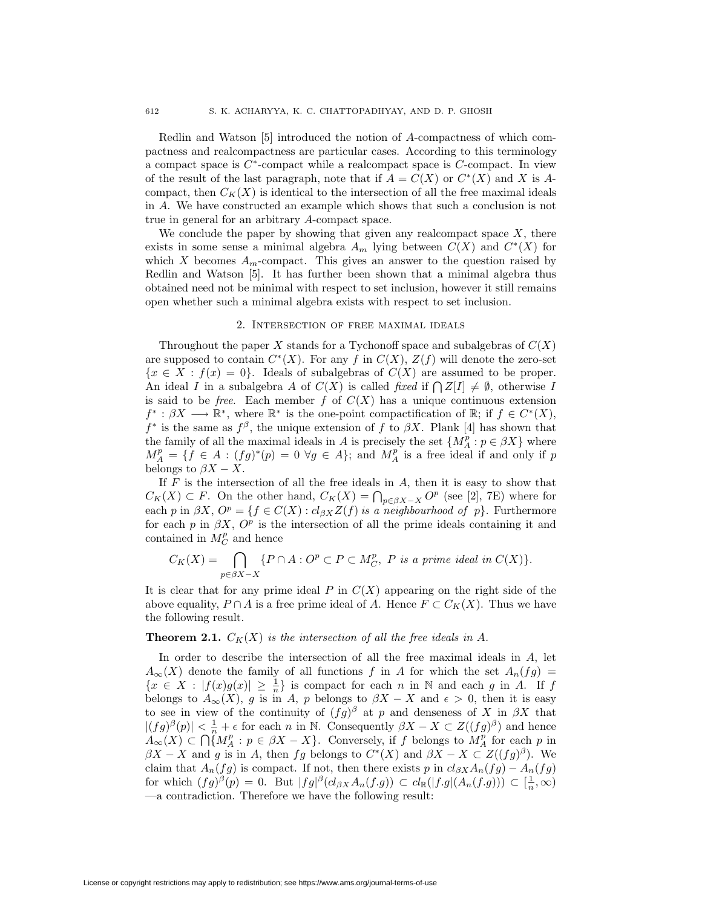Redlin and Watson [5] introduced the notion of A-compactness of which compactness and realcompactness are particular cases. According to this terminology a compact space is  $C^*$ -compact while a realcompact space is  $C$ -compact. In view of the result of the last paragraph, note that if  $A = C(X)$  or  $C^*(X)$  and X is Acompact, then  $C_K(X)$  is identical to the intersection of all the free maximal ideals in A. We have constructed an example which shows that such a conclusion is not true in general for an arbitrary A-compact space.

We conclude the paper by showing that given any realcompact space  $X$ , there exists in some sense a minimal algebra  $A_m$  lying between  $C(X)$  and  $C^*(X)$  for which X becomes  $A_m$ -compact. This gives an answer to the question raised by Redlin and Watson [5]. It has further been shown that a minimal algebra thus obtained need not be minimal with respect to set inclusion, however it still remains open whether such a minimal algebra exists with respect to set inclusion.

#### 2. Intersection of free maximal ideals

Throughout the paper X stands for a Tychonoff space and subalgebras of  $C(X)$ are supposed to contain  $C<sup>*</sup>(X)$ . For any f in  $C(X)$ ,  $Z(f)$  will denote the zero-set  ${x \in X : f(x) = 0}$ . Ideals of subalgebras of  $C(X)$  are assumed to be proper. An ideal I in a subalgebra A of  $C(X)$  is called fixed if  $\bigcap Z[I] \neq \emptyset$ , otherwise I is said to be *free.* Each member f of  $C(X)$  has a unique continuous extension  $f^* : \beta X \longrightarrow \mathbb{R}^*$ , where  $\mathbb{R}^*$  is the one-point compactification of  $\mathbb{R}$ ; if  $f \in C^*(X)$ ,  $f^*$  is the same as  $f^{\beta}$ , the unique extension of f to  $\beta X$ . Plank [4] has shown that the family of all the maximal ideals in A is precisely the set  $\{M_A^p : p \in \beta X\}$  where  $M_A^p = \{f \in A : (fg)^*(p) = 0 \,\,\forall g \in A\};\$  and  $M_A^p$  is a free ideal if and only if p belongs to  $\beta X - X$ .

If  $F$  is the intersection of all the free ideals in  $A$ , then it is easy to show that  $C_K(X) \subset F$ . On the other hand,  $C_K(X) = \bigcap_{p \in \beta X - X} O^p$  (see [2], 7E) where for each p in  $\beta X$ ,  $O^p = \{f \in C(X) : cl_{\beta X}Z(f)$  is a neighbourhood of p}. Furthermore for each p in  $\beta X$ ,  $O^p$  is the intersection of all the prime ideals containing it and contained in  $M_C^p$  and hence

$$
C_K(X) = \bigcap_{p \in \beta X-X} \{P \cap A : O^p \subset P \subset M_C^p, \ P \text{ is a prime ideal in } C(X)\}.
$$

It is clear that for any prime ideal  $P$  in  $C(X)$  appearing on the right side of the above equality,  $P \cap A$  is a free prime ideal of A. Hence  $F \subset C_K(X)$ . Thus we have the following result.

## **Theorem 2.1.**  $C_K(X)$  is the intersection of all the free ideals in A.

In order to describe the intersection of all the free maximal ideals in A, let  $A_{\infty}(X)$  denote the family of all functions f in A for which the set  $A_n(fg)$  =  $\{x \in X : |f(x)g(x)| \geq \frac{1}{n}\}\$ is compact for each n in N and each g in A. If f belongs to  $A_{\infty}(X)$ , g is in A, p belongs to  $\beta X - X$  and  $\epsilon > 0$ , then it is easy to see in view of the continuity of  $(fg)^{\beta}$  at p and denseness of X in  $\beta X$  that  $|(fg)^{\beta}(p)| < \frac{1}{n} + \epsilon$  for each n in N. Consequently  $\beta X - X \subset Z((fg)^{\beta})$  and hence  $A_{\infty}(X) \subset \bigcap_{i=1}^{n} M_A^p : p \in \beta X - X$ . Conversely, if f belongs to  $M_A^p$  for each p in  $\beta X - X$  and g is in A, then fg belongs to  $C^*(X)$  and  $\beta X - X \subset Z((fg)^{\beta})$ . We claim that  $A_n(fg)$  is compact. If not, then there exists p in  $cl_{\beta X}A_n(fg) - A_n(fg)$ for which  $(fg)^{\beta}(p) = 0$ . But  $|fg|^{\beta}(cl_{\beta X} A_n(f.g)) \subset cl_{\mathbb{R}}(|f.g|(A_n(f.g))) \subset [\frac{1}{n}, \infty)$ —a contradiction. Therefore we have the following result: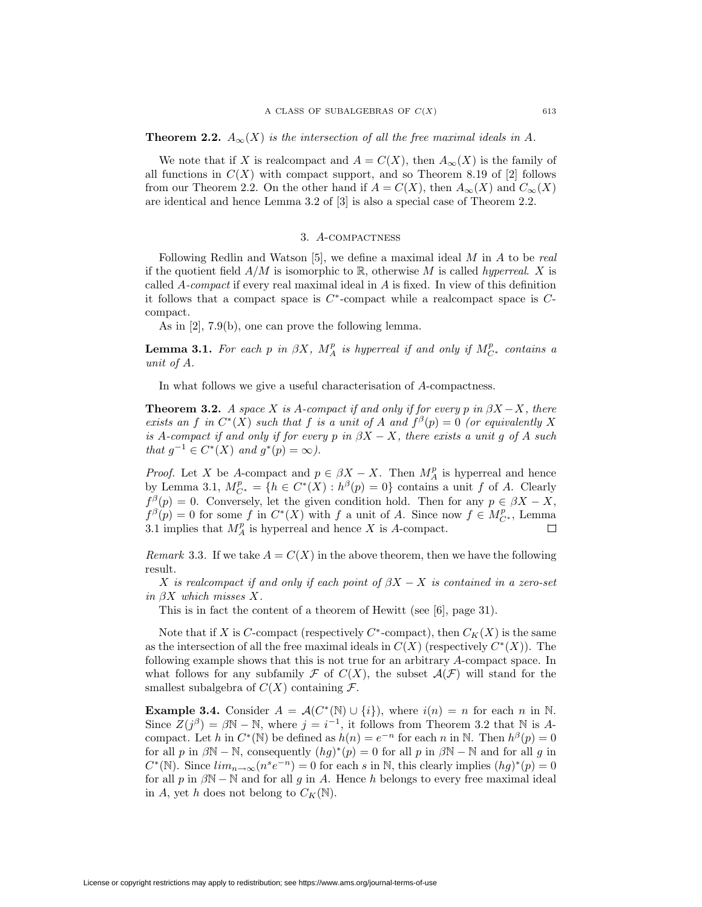**Theorem 2.2.**  $A_{\infty}(X)$  is the intersection of all the free maximal ideals in A.

We note that if X is realcompact and  $A = C(X)$ , then  $A_{\infty}(X)$  is the family of all functions in  $C(X)$  with compact support, and so Theorem 8.19 of [2] follows from our Theorem 2.2. On the other hand if  $A = C(X)$ , then  $A_{\infty}(X)$  and  $C_{\infty}(X)$ are identical and hence Lemma 3.2 of [3] is also a special case of Theorem 2.2.

### 3. A-compactness

Following Redlin and Watson  $[5]$ , we define a maximal ideal  $M$  in  $A$  to be real if the quotient field  $A/M$  is isomorphic to R, otherwise M is called hyperreal. X is called A-compact if every real maximal ideal in A is fixed. In view of this definition it follows that a compact space is  $C^*$ -compact while a realcompact space is  $C$ compact.

As in [2], 7.9(b), one can prove the following lemma.

**Lemma 3.1.** For each p in  $\beta X$ ,  $M_A^p$  is hyperreal if and only if  $M_{C^*}^p$  contains a unit of A.

In what follows we give a useful characterisation of A-compactness.

**Theorem 3.2.** A space X is A-compact if and only if for every p in  $\beta X - X$ , there exists an f in  $C^*(X)$  such that f is a unit of A and  $f^{\beta}(p)=0$  (or equivalently X is A-compact if and only if for every p in  $\beta X - X$ , there exists a unit g of A such that  $g^{-1} \in C^*(X)$  and  $g^*(p) = \infty$ ).

*Proof.* Let X be A-compact and  $p \in \beta X - X$ . Then  $M_A^p$  is hyperreal and hence by Lemma 3.1,  $M_{C^*}^p = \{h \in C^*(X) : h^{\beta}(p) = 0\}$  contains a unit f of A. Clearly  $f^{\beta}(p) = 0$ . Conversely, let the given condition hold. Then for any  $p \in \beta X - X$ ,  $f^{\beta}(p) = 0$  for some f in  $C^*(X)$  with f a unit of A. Since now  $f \in M_{C^*}^p$ , Lemma 3.1 implies that  $M_A^p$  is hyperreal and hence X is A-compact.

*Remark* 3.3. If we take  $A = C(X)$  in the above theorem, then we have the following result.

X is realcompact if and only if each point of  $\beta X - X$  is contained in a zero-set in  $\beta X$  which misses X.

This is in fact the content of a theorem of Hewitt (see [6], page 31).

Note that if X is C-compact (respectively  $C^*$ -compact), then  $C_K(X)$  is the same as the intersection of all the free maximal ideals in  $C(X)$  (respectively  $C^*(X)$ ). The following example shows that this is not true for an arbitrary A-compact space. In what follows for any subfamily F of  $C(X)$ , the subset  $\mathcal{A}(\mathcal{F})$  will stand for the smallest subalgebra of  $C(X)$  containing  $\mathcal{F}$ .

**Example 3.4.** Consider  $A = \mathcal{A}(C^*(\mathbb{N}) \cup \{i\})$ , where  $i(n) = n$  for each n in N. Since  $Z(j^{\beta}) = \beta \mathbb{N} - \mathbb{N}$ , where  $j = i^{-1}$ , it follows from Theorem 3.2 that  $\mathbb{N}$  is Acompact. Let h in  $C^*(\mathbb{N})$  be defined as  $h(n) = e^{-n}$  for each n in N. Then  $h^{\beta}(p) = 0$ for all p in  $\beta N - N$ , consequently  $(hg)^*(p) = 0$  for all p in  $\beta N - N$  and for all g in  $C^*(\mathbb{N})$ . Since  $\lim_{n\to\infty}(n^s e^{-n})=0$  for each s in  $\mathbb{N}$ , this clearly implies  $(hg)^*(p)=0$ for all p in  $\beta N - N$  and for all g in A. Hence h belongs to every free maximal ideal in A, yet h does not belong to  $C_K(\mathbb{N})$ .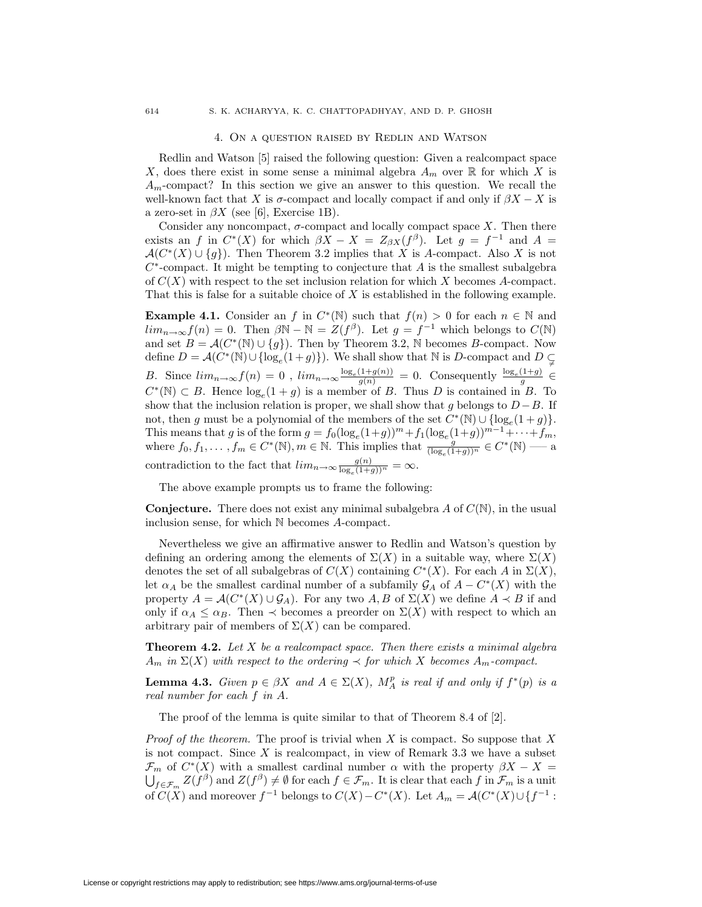#### 4. On a question raised by Redlin and Watson

Redlin and Watson [5] raised the following question: Given a realcompact space X, does there exist in some sense a minimal algebra  $A_m$  over  $\mathbb R$  for which X is  $A_m$ -compact? In this section we give an answer to this question. We recall the well-known fact that X is  $\sigma$ -compact and locally compact if and only if  $\beta X - X$  is a zero-set in  $\beta X$  (see [6], Exercise 1B).

Consider any noncompact,  $\sigma$ -compact and locally compact space X. Then there exists an f in  $C^*(X)$  for which  $\beta X - X = Z_{\beta X}(f^{\beta})$ . Let  $g = f^{-1}$  and  $A =$  $\mathcal{A}(C^*(X) \cup \{g\})$ . Then Theorem 3.2 implies that X is A-compact. Also X is not  $C^*$ -compact. It might be tempting to conjecture that A is the smallest subalgebra of  $C(X)$  with respect to the set inclusion relation for which X becomes A-compact. That this is false for a suitable choice of X is established in the following example.

**Example 4.1.** Consider an f in  $C^*(\mathbb{N})$  such that  $f(n) > 0$  for each  $n \in \mathbb{N}$  and  $\lim_{n\to\infty}f(n)=0$ . Then  $\beta\mathbb{N}-\mathbb{N}=Z(f^{\beta})$ . Let  $g=f^{-1}$  which belongs to  $C(\mathbb{N})$ and set  $B = \mathcal{A}(C^*(\mathbb{N}) \cup \{g\})$ . Then by Theorem 3.2, N becomes B-compact. Now define  $D = \mathcal{A}(C^*(\mathbb{N}) \cup \{\log_e(1+g)\})$ . We shall show that  $\mathbb{N}$  is D-compact and  $D \subsetneq$ B. Since  $\lim_{n\to\infty} f(n) = 0$ ,  $\lim_{n\to\infty} \frac{\log_e(1+g(n))}{g(n)} = 0$ . Consequently  $\frac{\log_e(1+g)}{g} \in$  $C^*(\mathbb{N}) \subset B$ . Hence  $\log_e(1+g)$  is a member of B. Thus D is contained in B. To show that the inclusion relation is proper, we shall show that g belongs to  $D-B$ . If not, then g must be a polynomial of the members of the set  $C^*(N) \cup \{\log_e(1+g)\}.$ This means that g is of the form  $g = f_0(\log_e(1+g))^m + f_1(\log_e(1+g))^{m-1} + \cdots + f_m$ , where  $f_0, f_1, \ldots, f_m \in C^*(\mathbb{N}), m \in \mathbb{N}$ . This implies that  $\frac{g}{(\log_e(1+g))^n} \in C^*(\mathbb{N})$  — a contradiction to the fact that  $\lim_{n\to\infty} \frac{g(n)}{\log_e(1+g))^n} = \infty$ .

The above example prompts us to frame the following:

**Conjecture.** There does not exist any minimal subalgebra  $A$  of  $C(\mathbb{N})$ , in the usual inclusion sense, for which N becomes A-compact.

Nevertheless we give an affirmative answer to Redlin and Watson's question by defining an ordering among the elements of  $\Sigma(X)$  in a suitable way, where  $\Sigma(X)$ denotes the set of all subalgebras of  $C(X)$  containing  $C^*(X)$ . For each A in  $\Sigma(X)$ , let  $\alpha_A$  be the smallest cardinal number of a subfamily  $\mathcal{G}_A$  of  $A - C^*(X)$  with the property  $A = \mathcal{A}(C^*(X) \cup \mathcal{G}_A)$ . For any two  $A, B$  of  $\Sigma(X)$  we define  $A \prec B$  if and only if  $\alpha_A \leq \alpha_B$ . Then  $\prec$  becomes a preorder on  $\Sigma(X)$  with respect to which an arbitrary pair of members of  $\Sigma(X)$  can be compared.

**Theorem 4.2.** Let  $X$  be a realcompact space. Then there exists a minimal algebra  $A_m$  in  $\Sigma(X)$  with respect to the ordering  $\prec$  for which X becomes  $A_m$ -compact.

**Lemma 4.3.** Given  $p \in \beta X$  and  $A \in \Sigma(X)$ ,  $M_A^p$  is real if and only if  $f^*(p)$  is a real number for each f in A.

The proof of the lemma is quite similar to that of Theorem 8.4 of [2].

*Proof of the theorem.* The proof is trivial when X is compact. So suppose that X is not compact. Since  $X$  is realcompact, in view of Remark 3.3 we have a subset  $\mathcal{F}_m$  of  $C^*(X)$  with a smallest cardinal number  $\alpha$  with the property  $\beta X - X =$ <br> $\bigcup_{f \in \mathcal{F}_m} Z(f^{\beta})$  and  $Z(f^{\beta}) \neq \emptyset$  for each  $f \in \mathcal{F}_m$ . It is clear that each  $f$  in  $\mathcal{F}_m$  is a unit of  $C(X)$  and moreover  $f^{-1}$  belongs to  $C(X) - C^*(X)$ . Let  $A_m = \mathcal{A}(C^*(X) \cup \{f^{-1} :$